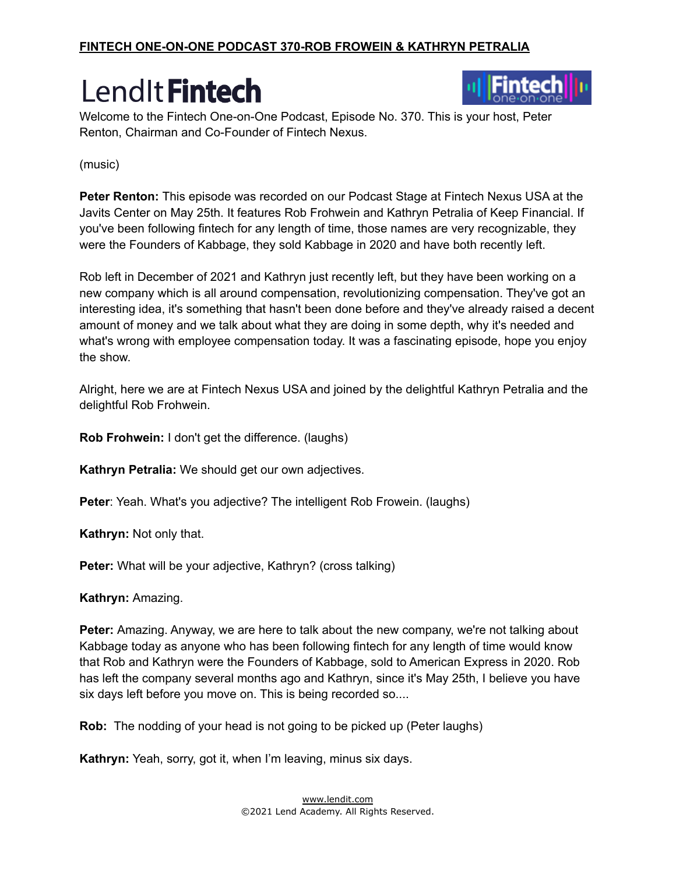

Welcome to the Fintech One-on-One Podcast, Episode No. 370. This is your host, Peter Renton, Chairman and Co-Founder of Fintech Nexus.

(music)

**Peter Renton:** This episode was recorded on our Podcast Stage at Fintech Nexus USA at the Javits Center on May 25th. It features Rob Frohwein and Kathryn Petralia of Keep Financial. If you've been following fintech for any length of time, those names are very recognizable, they were the Founders of Kabbage, they sold Kabbage in 2020 and have both recently left.

Rob left in December of 2021 and Kathryn just recently left, but they have been working on a new company which is all around compensation, revolutionizing compensation. They've got an interesting idea, it's something that hasn't been done before and they've already raised a decent amount of money and we talk about what they are doing in some depth, why it's needed and what's wrong with employee compensation today. It was a fascinating episode, hope you enjoy the show.

Alright, here we are at Fintech Nexus USA and joined by the delightful Kathryn Petralia and the delightful Rob Frohwein.

**Rob Frohwein:** I don't get the difference. (laughs)

**Kathryn Petralia:** We should get our own adjectives.

**Peter**: Yeah. What's you adjective? The intelligent Rob Frowein. (laughs)

**Kathryn:** Not only that.

**Peter:** What will be your adjective, Kathryn? (cross talking)

**Kathryn:** Amazing.

**Peter:** Amazing. Anyway, we are here to talk about the new company, we're not talking about Kabbage today as anyone who has been following fintech for any length of time would know that Rob and Kathryn were the Founders of Kabbage, sold to American Express in 2020. Rob has left the company several months ago and Kathryn, since it's May 25th, I believe you have six days left before you move on. This is being recorded so....

**Rob:** The nodding of your head is not going to be picked up (Peter laughs)

**Kathryn:** Yeah, sorry, got it, when I'm leaving, minus six days.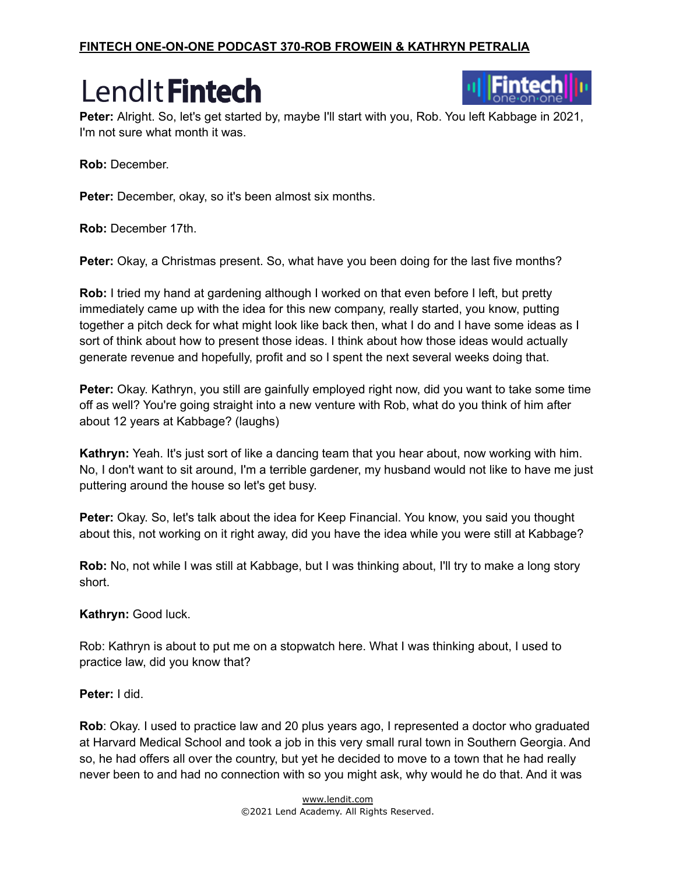#### **FINTECH ONE-ON-ONE PODCAST 370-ROB FROWEIN & KATHRYN PETRALIA**

### LendIt Fintech



Peter: Alright. So, let's get started by, maybe I'll start with you, Rob. You left Kabbage in 2021, I'm not sure what month it was.

**Rob:** December.

Peter: December, okay, so it's been almost six months.

**Rob:** December 17th.

**Peter:** Okay, a Christmas present. So, what have you been doing for the last five months?

**Rob:** I tried my hand at gardening although I worked on that even before I left, but pretty immediately came up with the idea for this new company, really started, you know, putting together a pitch deck for what might look like back then, what I do and I have some ideas as I sort of think about how to present those ideas. I think about how those ideas would actually generate revenue and hopefully, profit and so I spent the next several weeks doing that.

**Peter:** Okay. Kathryn, you still are gainfully employed right now, did you want to take some time off as well? You're going straight into a new venture with Rob, what do you think of him after about 12 years at Kabbage? (laughs)

**Kathryn:** Yeah. It's just sort of like a dancing team that you hear about, now working with him. No, I don't want to sit around, I'm a terrible gardener, my husband would not like to have me just puttering around the house so let's get busy.

**Peter:** Okay. So, let's talk about the idea for Keep Financial. You know, you said you thought about this, not working on it right away, did you have the idea while you were still at Kabbage?

**Rob:** No, not while I was still at Kabbage, but I was thinking about, I'll try to make a long story short.

#### **Kathryn:** Good luck.

Rob: Kathryn is about to put me on a stopwatch here. What I was thinking about, I used to practice law, did you know that?

#### **Peter:** I did.

**Rob**: Okay. I used to practice law and 20 plus years ago, I represented a doctor who graduated at Harvard Medical School and took a job in this very small rural town in Southern Georgia. And so, he had offers all over the country, but yet he decided to move to a town that he had really never been to and had no connection with so you might ask, why would he do that. And it was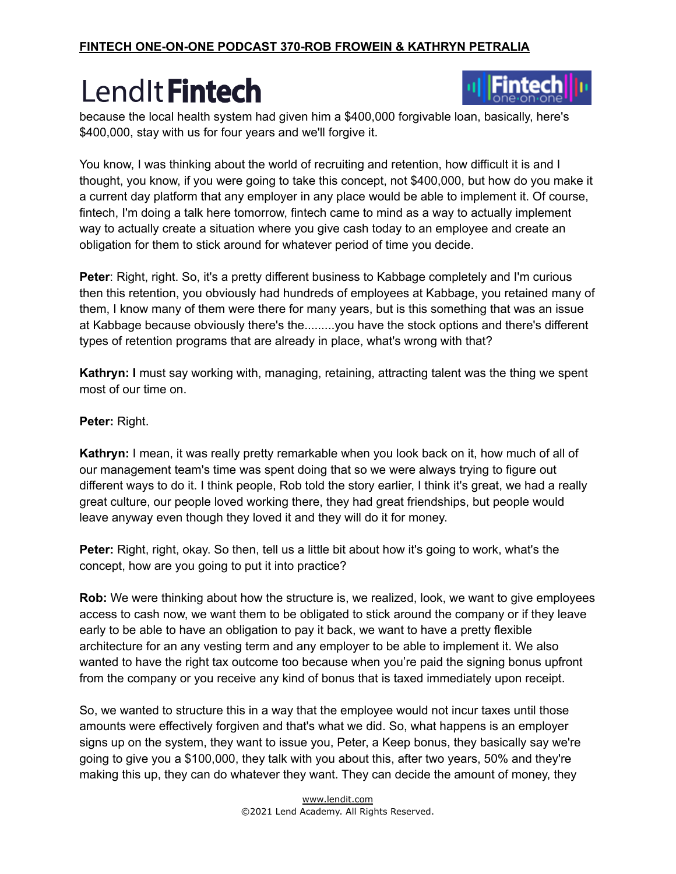

because the local health system had given him a \$400,000 forgivable loan, basically, here's \$400,000, stay with us for four years and we'll forgive it.

You know, I was thinking about the world of recruiting and retention, how difficult it is and I thought, you know, if you were going to take this concept, not \$400,000, but how do you make it a current day platform that any employer in any place would be able to implement it. Of course, fintech, I'm doing a talk here tomorrow, fintech came to mind as a way to actually implement way to actually create a situation where you give cash today to an employee and create an obligation for them to stick around for whatever period of time you decide.

**Peter**: Right, right. So, it's a pretty different business to Kabbage completely and I'm curious then this retention, you obviously had hundreds of employees at Kabbage, you retained many of them, I know many of them were there for many years, but is this something that was an issue at Kabbage because obviously there's the.........you have the stock options and there's different types of retention programs that are already in place, what's wrong with that?

**Kathryn: I** must say working with, managing, retaining, attracting talent was the thing we spent most of our time on.

#### **Peter:** Right.

**Kathryn:** I mean, it was really pretty remarkable when you look back on it, how much of all of our management team's time was spent doing that so we were always trying to figure out different ways to do it. I think people, Rob told the story earlier, I think it's great, we had a really great culture, our people loved working there, they had great friendships, but people would leave anyway even though they loved it and they will do it for money.

**Peter:** Right, right, okay. So then, tell us a little bit about how it's going to work, what's the concept, how are you going to put it into practice?

**Rob:** We were thinking about how the structure is, we realized, look, we want to give employees access to cash now, we want them to be obligated to stick around the company or if they leave early to be able to have an obligation to pay it back, we want to have a pretty flexible architecture for an any vesting term and any employer to be able to implement it. We also wanted to have the right tax outcome too because when you're paid the signing bonus upfront from the company or you receive any kind of bonus that is taxed immediately upon receipt.

So, we wanted to structure this in a way that the employee would not incur taxes until those amounts were effectively forgiven and that's what we did. So, what happens is an employer signs up on the system, they want to issue you, Peter, a Keep bonus, they basically say we're going to give you a \$100,000, they talk with you about this, after two years, 50% and they're making this up, they can do whatever they want. They can decide the amount of money, they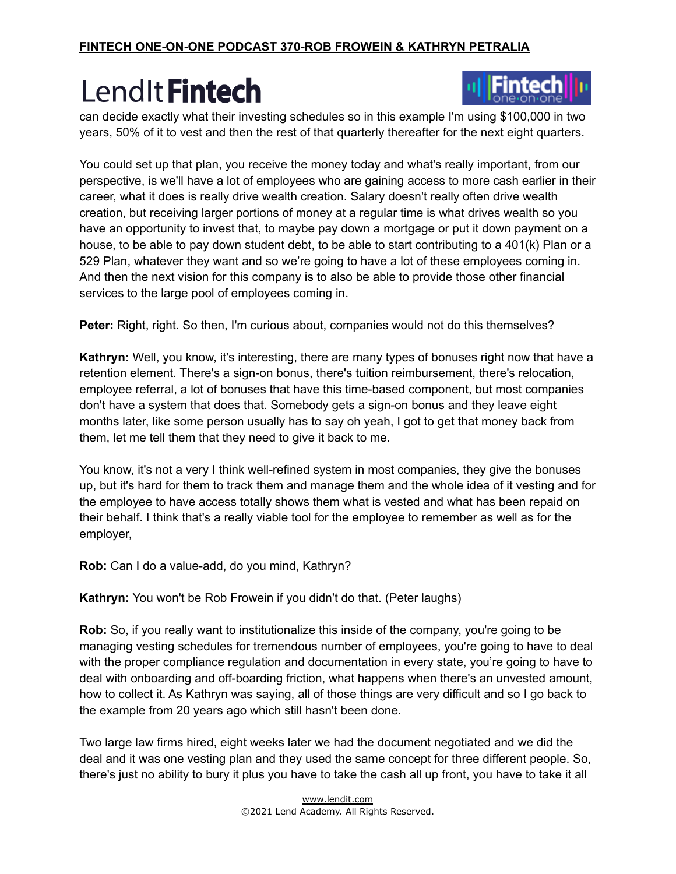

can decide exactly what their investing schedules so in this example I'm using \$100,000 in two years, 50% of it to vest and then the rest of that quarterly thereafter for the next eight quarters.

You could set up that plan, you receive the money today and what's really important, from our perspective, is we'll have a lot of employees who are gaining access to more cash earlier in their career, what it does is really drive wealth creation. Salary doesn't really often drive wealth creation, but receiving larger portions of money at a regular time is what drives wealth so you have an opportunity to invest that, to maybe pay down a mortgage or put it down payment on a house, to be able to pay down student debt, to be able to start contributing to a 401(k) Plan or a 529 Plan, whatever they want and so we're going to have a lot of these employees coming in. And then the next vision for this company is to also be able to provide those other financial services to the large pool of employees coming in.

**Peter:** Right, right. So then, I'm curious about, companies would not do this themselves?

**Kathryn:** Well, you know, it's interesting, there are many types of bonuses right now that have a retention element. There's a sign-on bonus, there's tuition reimbursement, there's relocation, employee referral, a lot of bonuses that have this time-based component, but most companies don't have a system that does that. Somebody gets a sign-on bonus and they leave eight months later, like some person usually has to say oh yeah, I got to get that money back from them, let me tell them that they need to give it back to me.

You know, it's not a very I think well-refined system in most companies, they give the bonuses up, but it's hard for them to track them and manage them and the whole idea of it vesting and for the employee to have access totally shows them what is vested and what has been repaid on their behalf. I think that's a really viable tool for the employee to remember as well as for the employer,

**Rob:** Can I do a value-add, do you mind, Kathryn?

**Kathryn:** You won't be Rob Frowein if you didn't do that. (Peter laughs)

**Rob:** So, if you really want to institutionalize this inside of the company, you're going to be managing vesting schedules for tremendous number of employees, you're going to have to deal with the proper compliance regulation and documentation in every state, you're going to have to deal with onboarding and off-boarding friction, what happens when there's an unvested amount, how to collect it. As Kathryn was saying, all of those things are very difficult and so I go back to the example from 20 years ago which still hasn't been done.

Two large law firms hired, eight weeks later we had the document negotiated and we did the deal and it was one vesting plan and they used the same concept for three different people. So, there's just no ability to bury it plus you have to take the cash all up front, you have to take it all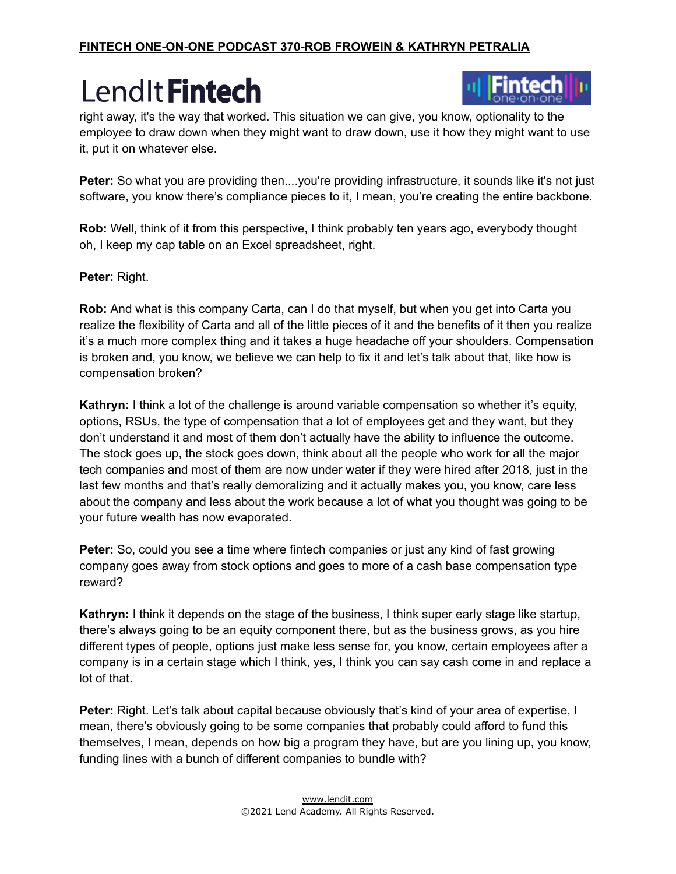#### **FINTECH ONE-ON-ONE PODCAST 370-ROB FROWEIN & KATHRYN PETRALIA**

### LendIt Fintech



right away, it's the way that worked. This situation we can give, you know, optionality to the employee to draw down when they might want to draw down, use it how they might want to use it, put it on whatever else.

**Peter:** So what you are providing then....you're providing infrastructure, it sounds like it's not just software, you know there's compliance pieces to it, I mean, you're creating the entire backbone.

**Rob:** Well, think of it from this perspective, I think probably ten years ago, everybody thought oh, I keep my cap table on an Excel spreadsheet, right.

**Peter:** Right.

**Rob:** And what is this company Carta, can I do that myself, but when you get into Carta you realize the flexibility of Carta and all of the little pieces of it and the benefits of it then you realize it's a much more complex thing and it takes a huge headache off your shoulders. Compensation is broken and, you know, we believe we can help to fix it and let's talk about that, like how is compensation broken?

**Kathryn:** I think a lot of the challenge is around variable compensation so whether it's equity, options, RSUs, the type of compensation that a lot of employees get and they want, but they don't understand it and most of them don't actually have the ability to influence the outcome. The stock goes up, the stock goes down, think about all the people who work for all the major tech companies and most of them are now under water if they were hired after 2018, just in the last few months and that's really demoralizing and it actually makes you, you know, care less about the company and less about the work because a lot of what you thought was going to be your future wealth has now evaporated.

**Peter:** So, could you see a time where fintech companies or just any kind of fast growing company goes away from stock options and goes to more of a cash base compensation type reward?

**Kathryn:** I think it depends on the stage of the business, I think super early stage like startup, there's always going to be an equity component there, but as the business grows, as you hire different types of people, options just make less sense for, you know, certain employees after a company is in a certain stage which I think, yes, I think you can say cash come in and replace a lot of that.

**Peter:** Right. Let's talk about capital because obviously that's kind of your area of expertise, I mean, there's obviously going to be some companies that probably could afford to fund this themselves, I mean, depends on how big a program they have, but are you lining up, you know, funding lines with a bunch of different companies to bundle with?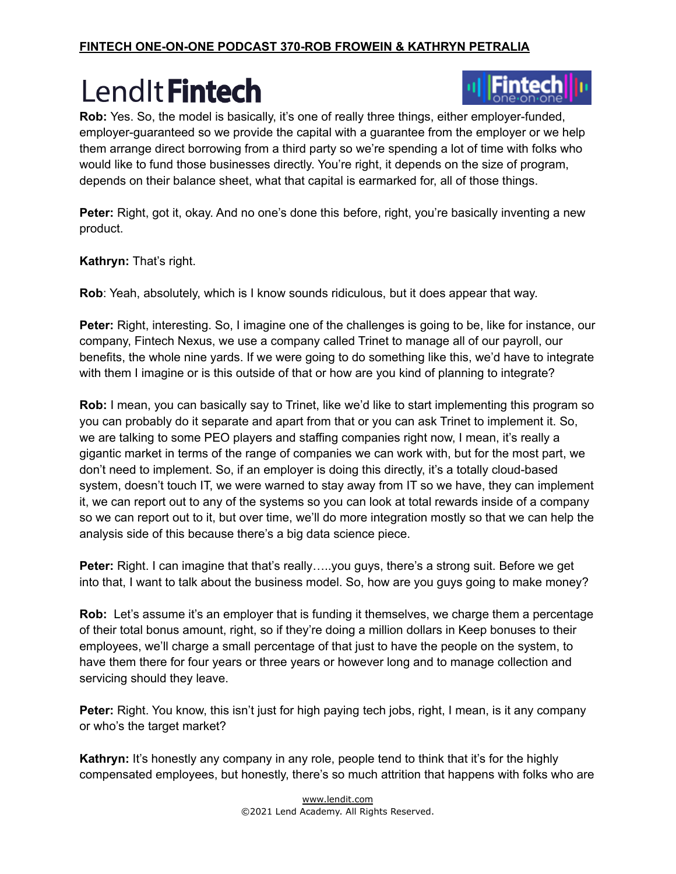

**Rob:** Yes. So, the model is basically, it's one of really three things, either employer-funded, employer-guaranteed so we provide the capital with a guarantee from the employer or we help them arrange direct borrowing from a third party so we're spending a lot of time with folks who would like to fund those businesses directly. You're right, it depends on the size of program, depends on their balance sheet, what that capital is earmarked for, all of those things.

**Peter:** Right, got it, okay. And no one's done this before, right, you're basically inventing a new product.

**Kathryn:** That's right.

**Rob**: Yeah, absolutely, which is I know sounds ridiculous, but it does appear that way.

**Peter:** Right, interesting. So, I imagine one of the challenges is going to be, like for instance, our company, Fintech Nexus, we use a company called Trinet to manage all of our payroll, our benefits, the whole nine yards. If we were going to do something like this, we'd have to integrate with them I imagine or is this outside of that or how are you kind of planning to integrate?

**Rob:** I mean, you can basically say to Trinet, like we'd like to start implementing this program so you can probably do it separate and apart from that or you can ask Trinet to implement it. So, we are talking to some PEO players and staffing companies right now, I mean, it's really a gigantic market in terms of the range of companies we can work with, but for the most part, we don't need to implement. So, if an employer is doing this directly, it's a totally cloud-based system, doesn't touch IT, we were warned to stay away from IT so we have, they can implement it, we can report out to any of the systems so you can look at total rewards inside of a company so we can report out to it, but over time, we'll do more integration mostly so that we can help the analysis side of this because there's a big data science piece.

**Peter:** Right. I can imagine that that's really…..you guys, there's a strong suit. Before we get into that, I want to talk about the business model. So, how are you guys going to make money?

**Rob:** Let's assume it's an employer that is funding it themselves, we charge them a percentage of their total bonus amount, right, so if they're doing a million dollars in Keep bonuses to their employees, we'll charge a small percentage of that just to have the people on the system, to have them there for four years or three years or however long and to manage collection and servicing should they leave.

**Peter:** Right. You know, this isn't just for high paying tech jobs, right, I mean, is it any company or who's the target market?

**Kathryn:** It's honestly any company in any role, people tend to think that it's for the highly compensated employees, but honestly, there's so much attrition that happens with folks who are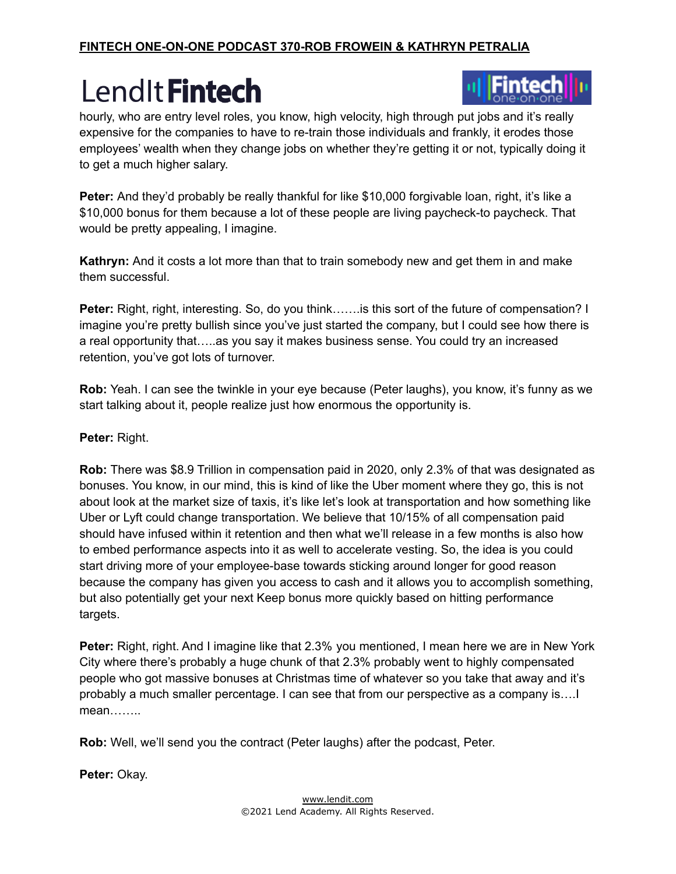

hourly, who are entry level roles, you know, high velocity, high through put jobs and it's really expensive for the companies to have to re-train those individuals and frankly, it erodes those employees' wealth when they change jobs on whether they're getting it or not, typically doing it to get a much higher salary.

**Peter:** And they'd probably be really thankful for like \$10,000 forgivable loan, right, it's like a \$10,000 bonus for them because a lot of these people are living paycheck-to paycheck. That would be pretty appealing, I imagine.

**Kathryn:** And it costs a lot more than that to train somebody new and get them in and make them successful.

**Peter:** Right, right, interesting. So, do you think…….is this sort of the future of compensation? I imagine you're pretty bullish since you've just started the company, but I could see how there is a real opportunity that…..as you say it makes business sense. You could try an increased retention, you've got lots of turnover.

**Rob:** Yeah. I can see the twinkle in your eye because (Peter laughs), you know, it's funny as we start talking about it, people realize just how enormous the opportunity is.

#### **Peter:** Right.

**Rob:** There was \$8.9 Trillion in compensation paid in 2020, only 2.3% of that was designated as bonuses. You know, in our mind, this is kind of like the Uber moment where they go, this is not about look at the market size of taxis, it's like let's look at transportation and how something like Uber or Lyft could change transportation. We believe that 10/15% of all compensation paid should have infused within it retention and then what we'll release in a few months is also how to embed performance aspects into it as well to accelerate vesting. So, the idea is you could start driving more of your employee-base towards sticking around longer for good reason because the company has given you access to cash and it allows you to accomplish something, but also potentially get your next Keep bonus more quickly based on hitting performance targets.

**Peter:** Right, right. And I imagine like that 2.3% you mentioned, I mean here we are in New York City where there's probably a huge chunk of that 2.3% probably went to highly compensated people who got massive bonuses at Christmas time of whatever so you take that away and it's probably a much smaller percentage. I can see that from our perspective as a company is….I mean……..

**Rob:** Well, we'll send you the contract (Peter laughs) after the podcast, Peter.

**Peter:** Okay.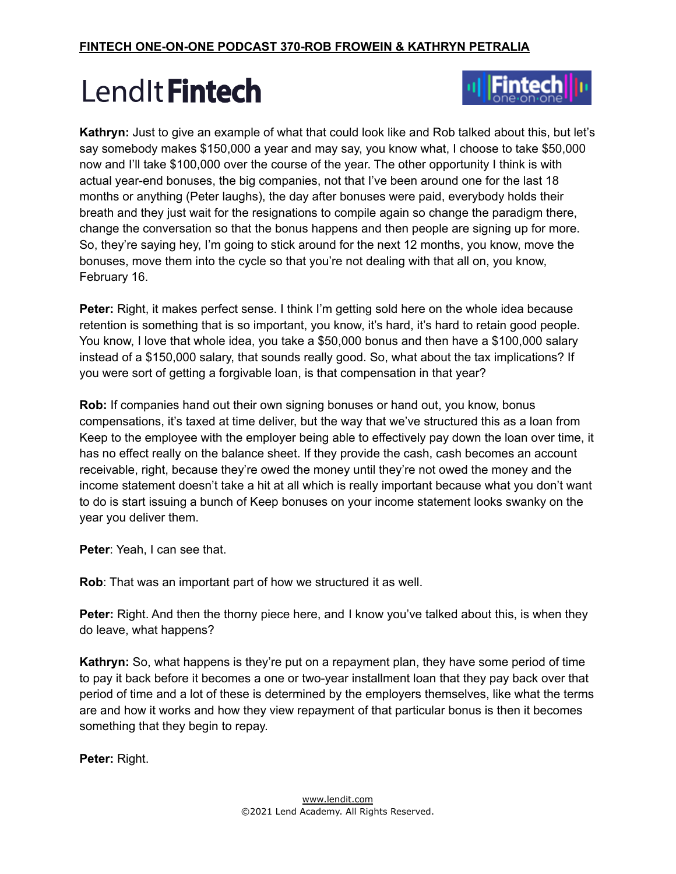

**Kathryn:** Just to give an example of what that could look like and Rob talked about this, but let's say somebody makes \$150,000 a year and may say, you know what, I choose to take \$50,000 now and I'll take \$100,000 over the course of the year. The other opportunity I think is with actual year-end bonuses, the big companies, not that I've been around one for the last 18 months or anything (Peter laughs), the day after bonuses were paid, everybody holds their breath and they just wait for the resignations to compile again so change the paradigm there, change the conversation so that the bonus happens and then people are signing up for more. So, they're saying hey, I'm going to stick around for the next 12 months, you know, move the bonuses, move them into the cycle so that you're not dealing with that all on, you know, February 16.

**Peter:** Right, it makes perfect sense. I think I'm getting sold here on the whole idea because retention is something that is so important, you know, it's hard, it's hard to retain good people. You know, I love that whole idea, you take a \$50,000 bonus and then have a \$100,000 salary instead of a \$150,000 salary, that sounds really good. So, what about the tax implications? If you were sort of getting a forgivable loan, is that compensation in that year?

**Rob:** If companies hand out their own signing bonuses or hand out, you know, bonus compensations, it's taxed at time deliver, but the way that we've structured this as a loan from Keep to the employee with the employer being able to effectively pay down the loan over time, it has no effect really on the balance sheet. If they provide the cash, cash becomes an account receivable, right, because they're owed the money until they're not owed the money and the income statement doesn't take a hit at all which is really important because what you don't want to do is start issuing a bunch of Keep bonuses on your income statement looks swanky on the year you deliver them.

**Peter**: Yeah, I can see that.

**Rob**: That was an important part of how we structured it as well.

**Peter:** Right. And then the thorny piece here, and I know you've talked about this, is when they do leave, what happens?

**Kathryn:** So, what happens is they're put on a repayment plan, they have some period of time to pay it back before it becomes a one or two-year installment loan that they pay back over that period of time and a lot of these is determined by the employers themselves, like what the terms are and how it works and how they view repayment of that particular bonus is then it becomes something that they begin to repay.

**Peter:** Right.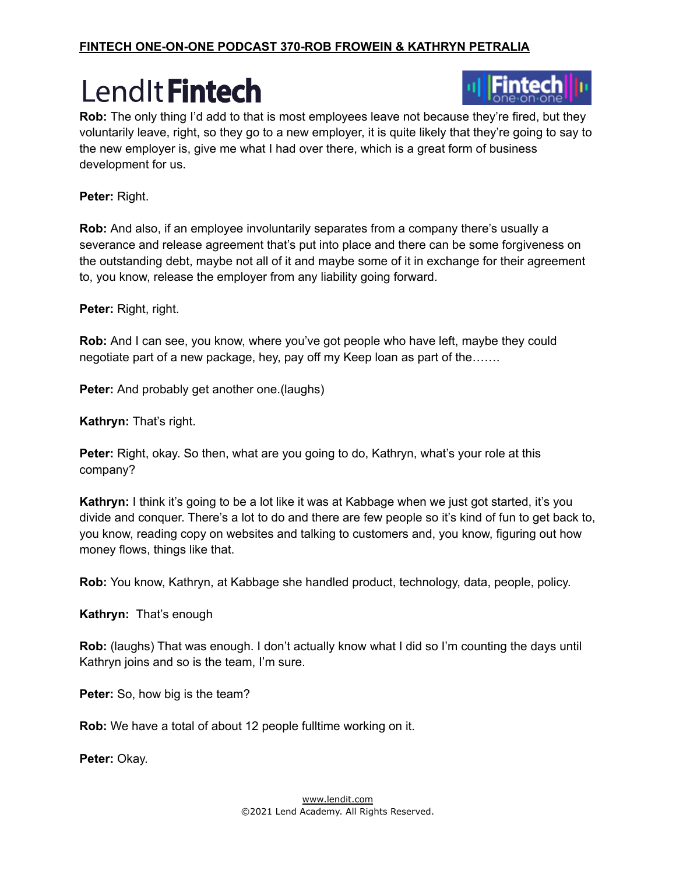

**Rob:** The only thing I'd add to that is most employees leave not because they're fired, but they voluntarily leave, right, so they go to a new employer, it is quite likely that they're going to say to the new employer is, give me what I had over there, which is a great form of business development for us.

**Peter:** Right.

**Rob:** And also, if an employee involuntarily separates from a company there's usually a severance and release agreement that's put into place and there can be some forgiveness on the outstanding debt, maybe not all of it and maybe some of it in exchange for their agreement to, you know, release the employer from any liability going forward.

**Peter:** Right, right.

**Rob:** And I can see, you know, where you've got people who have left, maybe they could negotiate part of a new package, hey, pay off my Keep loan as part of the…….

**Peter:** And probably get another one.(laughs)

**Kathryn:** That's right.

**Peter:** Right, okay. So then, what are you going to do, Kathryn, what's your role at this company?

**Kathryn:** I think it's going to be a lot like it was at Kabbage when we just got started, it's you divide and conquer. There's a lot to do and there are few people so it's kind of fun to get back to, you know, reading copy on websites and talking to customers and, you know, figuring out how money flows, things like that.

**Rob:** You know, Kathryn, at Kabbage she handled product, technology, data, people, policy.

**Kathryn:** That's enough

**Rob:** (laughs) That was enough. I don't actually know what I did so I'm counting the days until Kathryn joins and so is the team, I'm sure.

**Peter:** So, how big is the team?

**Rob:** We have a total of about 12 people fulltime working on it.

**Peter:** Okay.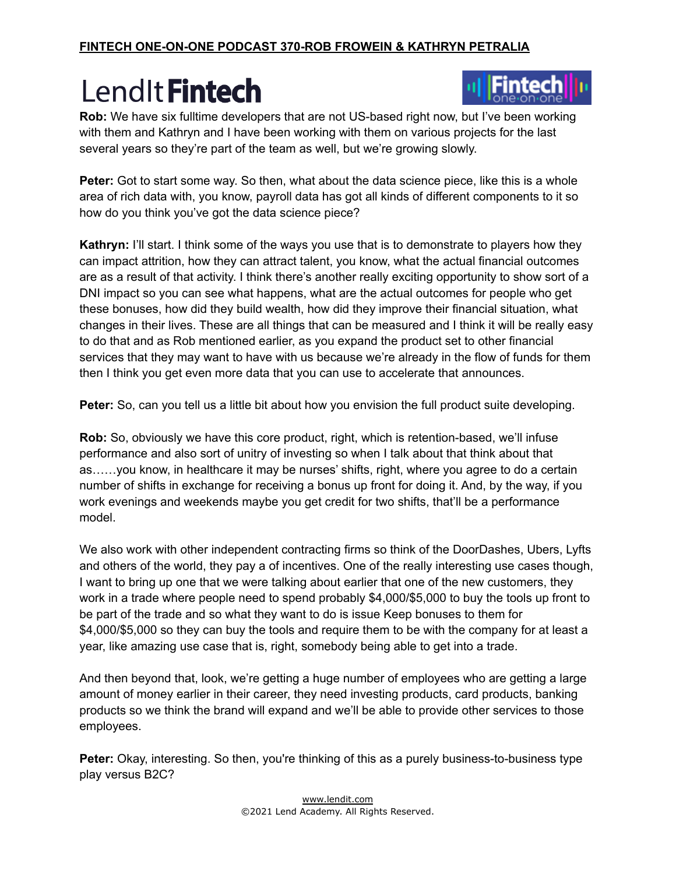

**Rob:** We have six fulltime developers that are not US-based right now, but I've been working with them and Kathryn and I have been working with them on various projects for the last several years so they're part of the team as well, but we're growing slowly.

**Peter:** Got to start some way. So then, what about the data science piece, like this is a whole area of rich data with, you know, payroll data has got all kinds of different components to it so how do you think you've got the data science piece?

**Kathryn:** I'll start. I think some of the ways you use that is to demonstrate to players how they can impact attrition, how they can attract talent, you know, what the actual financial outcomes are as a result of that activity. I think there's another really exciting opportunity to show sort of a DNI impact so you can see what happens, what are the actual outcomes for people who get these bonuses, how did they build wealth, how did they improve their financial situation, what changes in their lives. These are all things that can be measured and I think it will be really easy to do that and as Rob mentioned earlier, as you expand the product set to other financial services that they may want to have with us because we're already in the flow of funds for them then I think you get even more data that you can use to accelerate that announces.

**Peter:** So, can you tell us a little bit about how you envision the full product suite developing.

**Rob:** So, obviously we have this core product, right, which is retention-based, we'll infuse performance and also sort of unitry of investing so when I talk about that think about that as……you know, in healthcare it may be nurses' shifts, right, where you agree to do a certain number of shifts in exchange for receiving a bonus up front for doing it. And, by the way, if you work evenings and weekends maybe you get credit for two shifts, that'll be a performance model.

We also work with other independent contracting firms so think of the DoorDashes, Ubers, Lyfts and others of the world, they pay a of incentives. One of the really interesting use cases though, I want to bring up one that we were talking about earlier that one of the new customers, they work in a trade where people need to spend probably \$4,000/\$5,000 to buy the tools up front to be part of the trade and so what they want to do is issue Keep bonuses to them for \$4,000/\$5,000 so they can buy the tools and require them to be with the company for at least a year, like amazing use case that is, right, somebody being able to get into a trade.

And then beyond that, look, we're getting a huge number of employees who are getting a large amount of money earlier in their career, they need investing products, card products, banking products so we think the brand will expand and we'll be able to provide other services to those employees.

**Peter:** Okay, interesting. So then, you're thinking of this as a purely business-to-business type play versus B2C?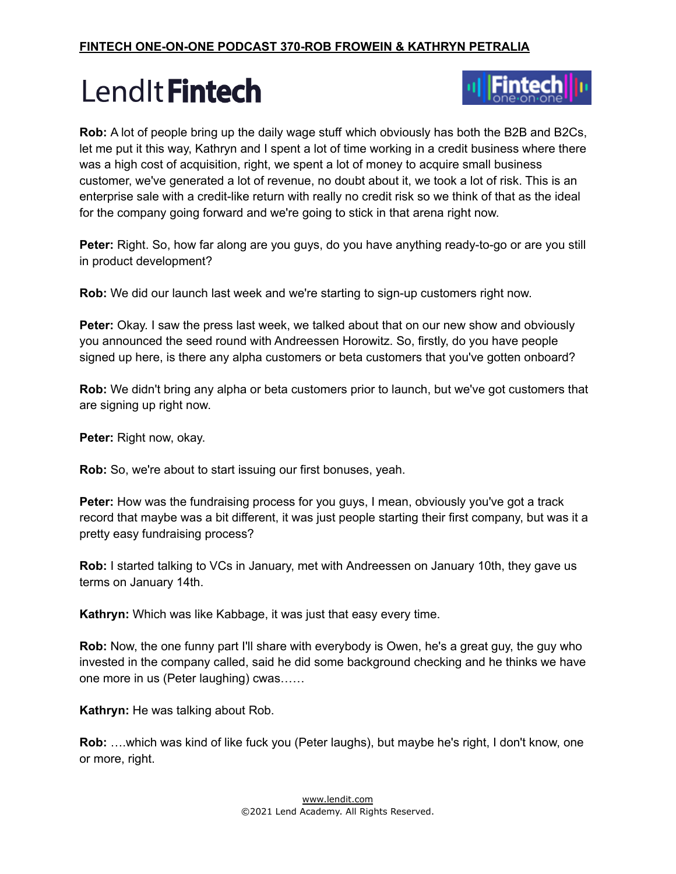

**Rob:** A lot of people bring up the daily wage stuff which obviously has both the B2B and B2Cs, let me put it this way, Kathryn and I spent a lot of time working in a credit business where there was a high cost of acquisition, right, we spent a lot of money to acquire small business customer, we've generated a lot of revenue, no doubt about it, we took a lot of risk. This is an enterprise sale with a credit-like return with really no credit risk so we think of that as the ideal for the company going forward and we're going to stick in that arena right now.

**Peter:** Right. So, how far along are you guys, do you have anything ready-to-go or are you still in product development?

**Rob:** We did our launch last week and we're starting to sign-up customers right now.

**Peter:** Okay. I saw the press last week, we talked about that on our new show and obviously you announced the seed round with Andreessen Horowitz. So, firstly, do you have people signed up here, is there any alpha customers or beta customers that you've gotten onboard?

**Rob:** We didn't bring any alpha or beta customers prior to launch, but we've got customers that are signing up right now.

**Peter:** Right now, okay.

**Rob:** So, we're about to start issuing our first bonuses, yeah.

**Peter:** How was the fundraising process for you guys, I mean, obviously you've got a track record that maybe was a bit different, it was just people starting their first company, but was it a pretty easy fundraising process?

**Rob:** I started talking to VCs in January, met with Andreessen on January 10th, they gave us terms on January 14th.

**Kathryn:** Which was like Kabbage, it was just that easy every time.

**Rob:** Now, the one funny part I'll share with everybody is Owen, he's a great guy, the guy who invested in the company called, said he did some background checking and he thinks we have one more in us (Peter laughing) cwas……

**Kathryn:** He was talking about Rob.

**Rob:** ….which was kind of like fuck you (Peter laughs), but maybe he's right, I don't know, one or more, right.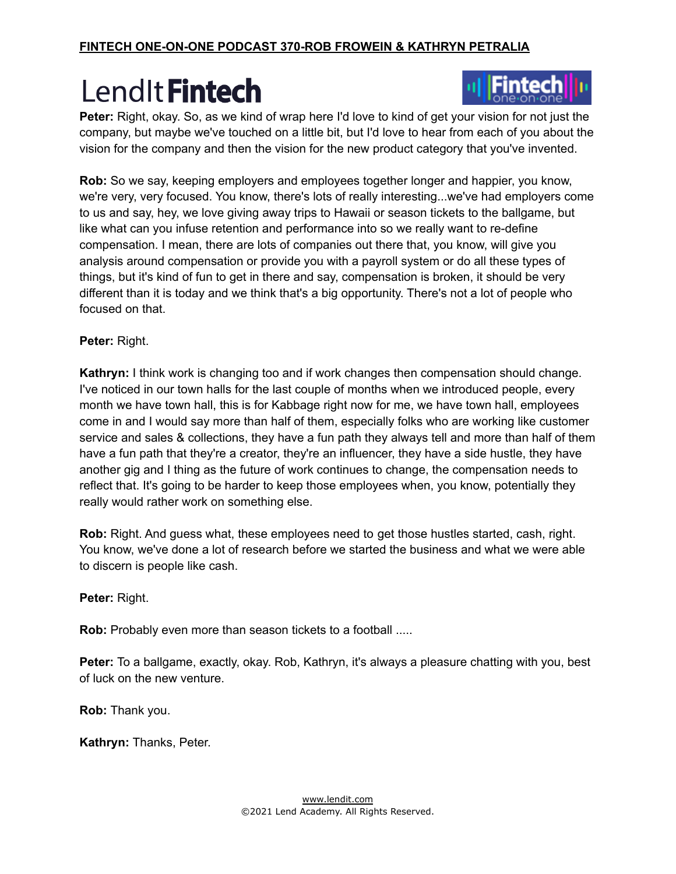

**Peter:** Right, okay. So, as we kind of wrap here I'd love to kind of get your vision for not just the company, but maybe we've touched on a little bit, but I'd love to hear from each of you about the vision for the company and then the vision for the new product category that you've invented.

**Rob:** So we say, keeping employers and employees together longer and happier, you know, we're very, very focused. You know, there's lots of really interesting...we've had employers come to us and say, hey, we love giving away trips to Hawaii or season tickets to the ballgame, but like what can you infuse retention and performance into so we really want to re-define compensation. I mean, there are lots of companies out there that, you know, will give you analysis around compensation or provide you with a payroll system or do all these types of things, but it's kind of fun to get in there and say, compensation is broken, it should be very different than it is today and we think that's a big opportunity. There's not a lot of people who focused on that.

**Peter:** Right.

**Kathryn:** I think work is changing too and if work changes then compensation should change. I've noticed in our town halls for the last couple of months when we introduced people, every month we have town hall, this is for Kabbage right now for me, we have town hall, employees come in and I would say more than half of them, especially folks who are working like customer service and sales & collections, they have a fun path they always tell and more than half of them have a fun path that they're a creator, they're an influencer, they have a side hustle, they have another gig and I thing as the future of work continues to change, the compensation needs to reflect that. It's going to be harder to keep those employees when, you know, potentially they really would rather work on something else.

**Rob:** Right. And guess what, these employees need to get those hustles started, cash, right. You know, we've done a lot of research before we started the business and what we were able to discern is people like cash.

**Peter:** Right.

**Rob:** Probably even more than season tickets to a football .....

**Peter:** To a ballgame, exactly, okay. Rob, Kathryn, it's always a pleasure chatting with you, best of luck on the new venture.

**Rob:** Thank you.

**Kathryn:** Thanks, Peter.